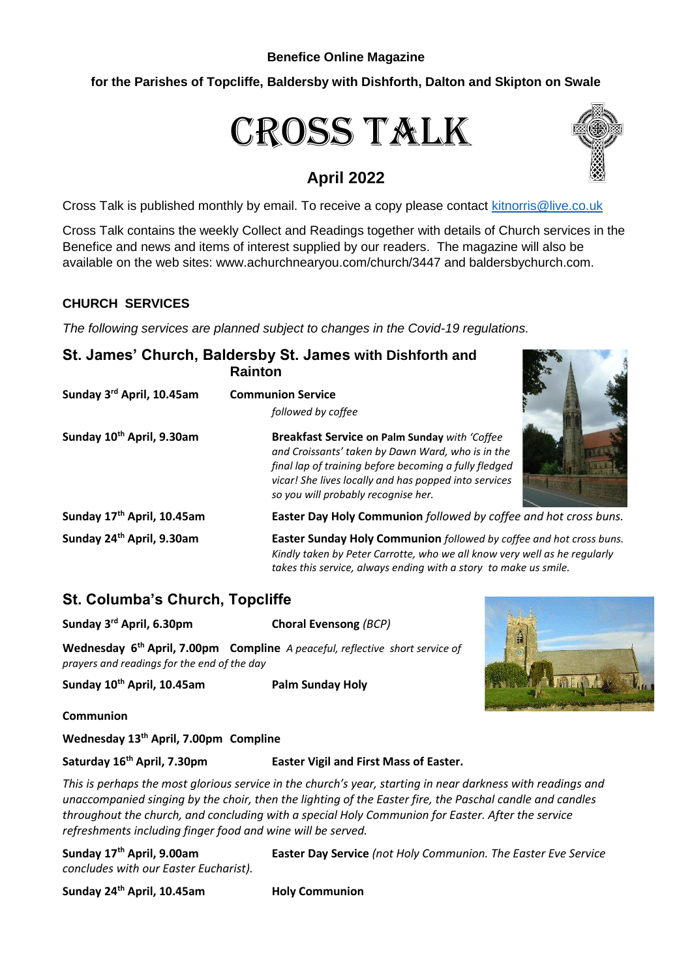#### **Benefice Online Magazine**

# **for the Parishes of Topcliffe, Baldersby with Dishforth, Dalton and Skipton on Swale**

# Cross Talk

# **April 2022**



Cross Talk is published monthly by email. To receive a copy please contact [kitnorris@live.co.uk](mailto:kitnorris@live.co.uk)

Cross Talk contains the weekly Collect and Readings together with details of Church services in the Benefice and news and items of interest supplied by our readers. The magazine will also be available on the web sites: www.achurchnearyou.com/church/3447 and baldersbychurch.com.

# **CHURCH SERVICES**

*The following services are planned subject to changes in the Covid-19 regulations.*

|                                       | St. James' Church, Baldersby St. James with Dishforth and<br><b>Rainton</b>                                                                                                                                                                                 |
|---------------------------------------|-------------------------------------------------------------------------------------------------------------------------------------------------------------------------------------------------------------------------------------------------------------|
| Sunday 3rd April, 10.45am             | <b>Communion Service</b><br>followed by coffee                                                                                                                                                                                                              |
| Sunday 10 <sup>th</sup> April, 9.30am | Breakfast Service on Palm Sunday with 'Coffee<br>and Croissants' taken by Dawn Ward, who is in the<br>final lap of training before becoming a fully fledged<br>vicar! She lives locally and has popped into services<br>so you will probably recognise her. |
| Sunday 17th April, 10.45am            | Easter Day Holy Communion followed by coffee and hot cross buns.                                                                                                                                                                                            |
| Sunday 24 <sup>th</sup> April, 9.30am | Easter Sunday Holy Communion followed by coffee and hot cross buns.<br>Kindly taken by Peter Carrotte, who we all know very well as he regularly<br>takes this service, always ending with a story to make us smile.                                        |

# **St. Columba's Church, Topcliffe**

**Sunday 3rd April, 6.30pm Choral Evensong** *(BCP)* **Wednesday 6th April, 7.00pm Compline** *A peaceful, reflective short service of prayers and readings for the end of the day*

**Sunday 10th April, 10.45am Palm Sunday Holy** 



**Communion**

**Wednesday 13th April, 7.00pm Compline**

**Saturday 16th April, 7.30pm Easter Vigil and First Mass of Easter.**

*This is perhaps the most glorious service in the church's year, starting in near darkness with readings and unaccompanied singing by the choir, then the lighting of the Easter fire, the Paschal candle and candles throughout the church, and concluding with a special Holy Communion for Easter. After the service refreshments including finger food and wine will be served.*

*concludes with our Easter Eucharist).*

**Sunday 17th April, 9.00am Easter Day Service** *(not Holy Communion. The Easter Eve Service* 

**Sunday 24th April, 10.45am Holy Communion**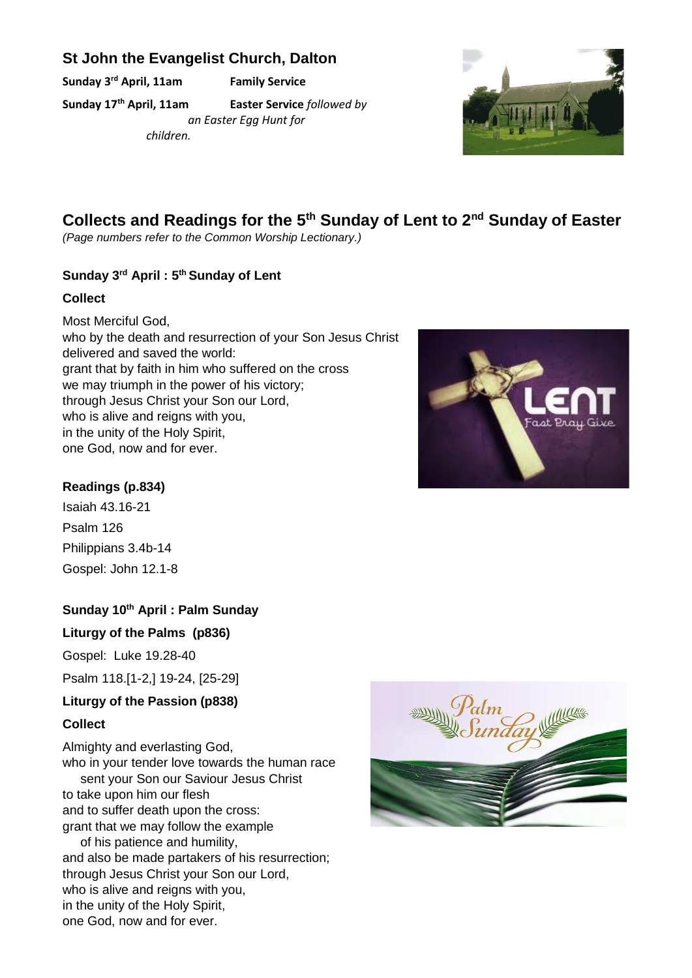# **St John the Evangelist Church, Dalton**

**Sunday 3rd April, 11am Family Service**

**Sunday 17th April, 11am Easter Service** *followed by* 

*an Easter Egg Hunt for children.*



# **Collects and Readings for the 5th Sunday of Lent to 2nd Sunday of Easter**

*(Page numbers refer to the Common Worship Lectionary.)*

# **Sunday 3rd April : 5th Sunday of Lent**

# **Collect**

Most Merciful God, who by the death and resurrection of your Son Jesus Christ delivered and saved the world: grant that by faith in him who suffered on the cross we may triumph in the power of his victory; through Jesus Christ your Son our Lord, who is alive and reigns with you. in the unity of the Holy Spirit, one God, now and for ever.



Isaiah 43.16-21 Psalm 126 Philippians 3.4b-14 Gospel: John 12.1-8

# **Sunday 10th April : Palm Sunday**

# **Liturgy of the Palms (p836)**

Gospel: Luke 19.28-40

Psalm 118.[1-2,] 19-24, [25-29]

# **Liturgy of the Passion (p838)**

# **Collect**

Almighty and everlasting God, who in your tender love towards the human race sent your Son our Saviour Jesus Christ to take upon him our flesh and to suffer death upon the cross: grant that we may follow the example of his patience and humility, and also be made partakers of his resurrection;

through Jesus Christ your Son our Lord, who is alive and reigns with you, in the unity of the Holy Spirit, one God, now and for ever.



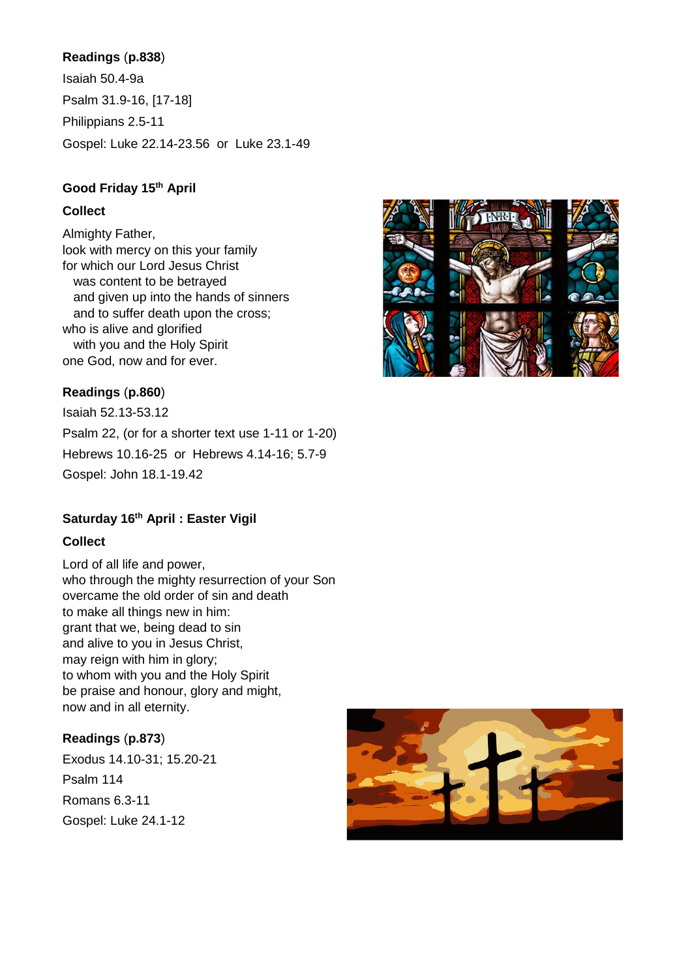# **Readings** (**p.838**)

Isaiah 50.4-9a Psalm 31.9-16, [17-18] Philippians 2.5-11 Gospel: Luke 22.14-23.56 or Luke 23.1-49

## **Good Friday 15th April**

## **Collect**

Almighty Father, look with mercy on this your family for which our Lord Jesus Christ was content to be betrayed and given up into the hands of sinners and to suffer death upon the cross; who is alive and glorified with you and the Holy Spirit one God, now and for ever.

# **Readings** (**p.860**)

Isaiah 52.13-53.12 Psalm 22, (or for a shorter text use 1-11 or 1-20) Hebrews 10.16-25 or Hebrews 4.14-16; 5.7-9 Gospel: John 18.1-19.42

# **Saturday 16th April : Easter Vigil**

#### **Collect**

Lord of all life and power, who through the mighty resurrection of your Son overcame the old order of sin and death to make all things new in him: grant that we, being dead to sin and alive to you in Jesus Christ, may reign with him in glory; to whom with you and the Holy Spirit be praise and honour, glory and might, now and in all eternity.

#### **Readings** (**p.873**)

Exodus 14.10-31; 15.20-21 Psalm 114 Romans 6.3-11 Gospel: Luke 24.1-12



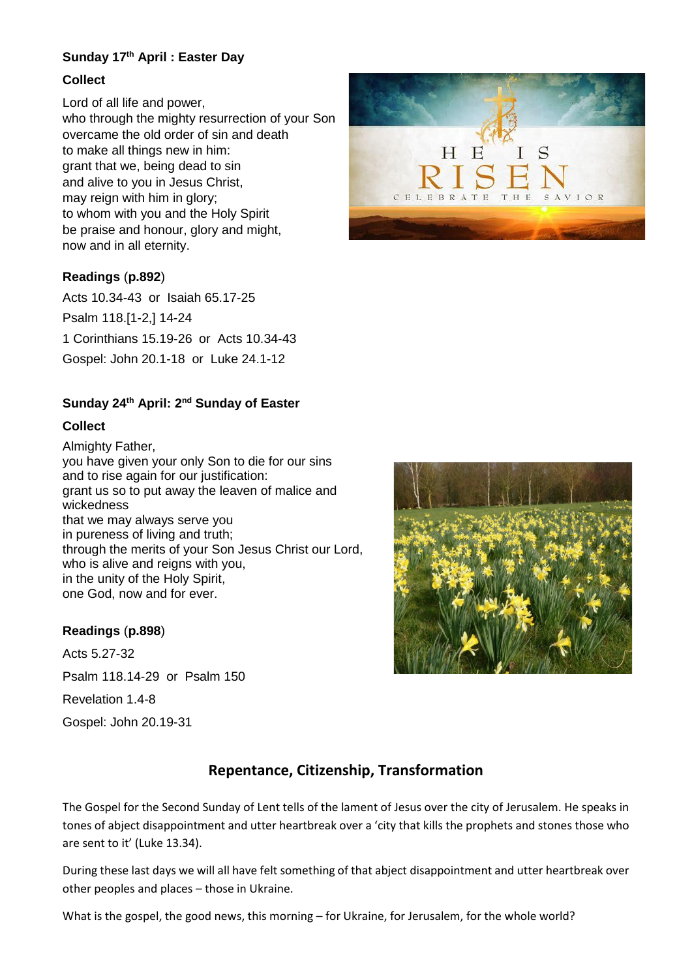# **Sunday 17th April : Easter Day**

## **Collect**

Lord of all life and power, who through the mighty resurrection of your Son overcame the old order of sin and death to make all things new in him: grant that we, being dead to sin and alive to you in Jesus Christ, may reign with him in glory; to whom with you and the Holy Spirit be praise and honour, glory and might, now and in all eternity.

## **Readings** (**p.892**)

Acts 10.34-43 or Isaiah 65.17-25 Psalm 118.[1-2,] 14-24 1 Corinthians 15.19-26 or Acts 10.34-43 Gospel: John 20.1-18 or Luke 24.1-12

## **Sunday 24th April: 2nd Sunday of Easter**

## **Collect**

Almighty Father, you have given your only Son to die for our sins and to rise again for our justification: grant us so to put away the leaven of malice and wickedness that we may always serve you in pureness of living and truth; through the merits of your Son Jesus Christ our Lord, who is alive and reigns with you, in the unity of the Holy Spirit, one God, now and for ever.

#### **Readings** (**p.898**)

Acts 5.27-32 Psalm 118.14-29 or Psalm 150

Revelation 1.4-8

Gospel: John 20.19-31





# **Repentance, Citizenship, Transformation**

The Gospel for the Second Sunday of Lent tells of the lament of Jesus over the city of Jerusalem. He speaks in tones of abject disappointment and utter heartbreak over a 'city that kills the prophets and stones those who are sent to it' (Luke 13.34).

During these last days we will all have felt something of that abject disappointment and utter heartbreak over other peoples and places – those in Ukraine.

What is the gospel, the good news, this morning – for Ukraine, for Jerusalem, for the whole world?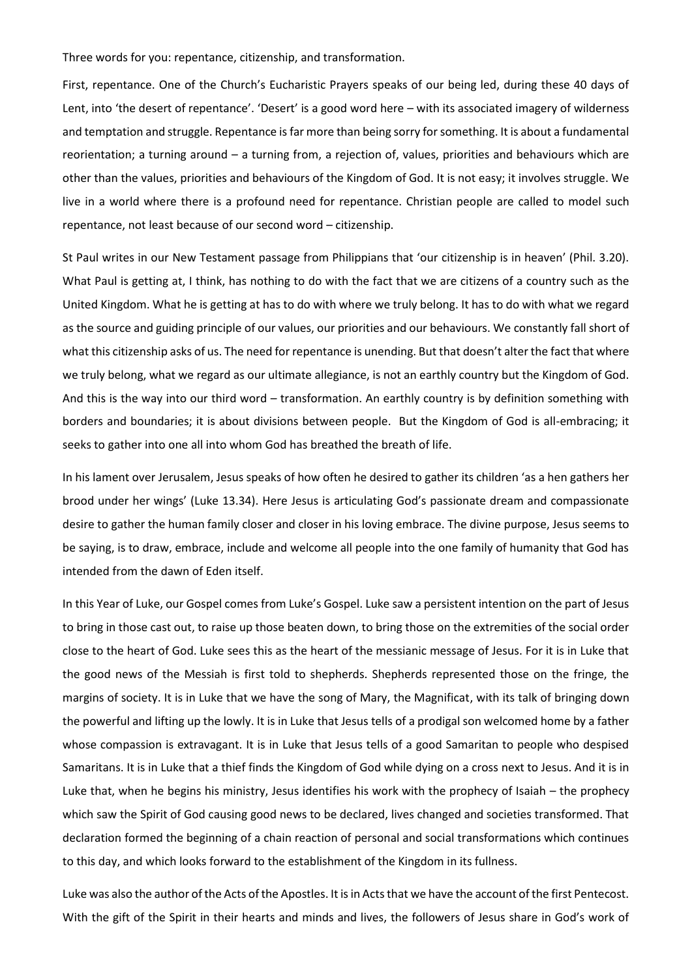Three words for you: repentance, citizenship, and transformation.

First, repentance. One of the Church's Eucharistic Prayers speaks of our being led, during these 40 days of Lent, into 'the desert of repentance'. 'Desert' is a good word here – with its associated imagery of wilderness and temptation and struggle. Repentance is far more than being sorry for something. It is about a fundamental reorientation; a turning around – a turning from, a rejection of, values, priorities and behaviours which are other than the values, priorities and behaviours of the Kingdom of God. It is not easy; it involves struggle. We live in a world where there is a profound need for repentance. Christian people are called to model such repentance, not least because of our second word – citizenship.

St Paul writes in our New Testament passage from Philippians that 'our citizenship is in heaven' (Phil. 3.20). What Paul is getting at, I think, has nothing to do with the fact that we are citizens of a country such as the United Kingdom. What he is getting at has to do with where we truly belong. It has to do with what we regard as the source and guiding principle of our values, our priorities and our behaviours. We constantly fall short of what this citizenship asks of us. The need for repentance is unending. But that doesn't alter the fact that where we truly belong, what we regard as our ultimate allegiance, is not an earthly country but the Kingdom of God. And this is the way into our third word – transformation. An earthly country is by definition something with borders and boundaries; it is about divisions between people. But the Kingdom of God is all-embracing; it seeks to gather into one all into whom God has breathed the breath of life.

In his lament over Jerusalem, Jesus speaks of how often he desired to gather its children 'as a hen gathers her brood under her wings' (Luke 13.34). Here Jesus is articulating God's passionate dream and compassionate desire to gather the human family closer and closer in his loving embrace. The divine purpose, Jesus seems to be saying, is to draw, embrace, include and welcome all people into the one family of humanity that God has intended from the dawn of Eden itself.

In this Year of Luke, our Gospel comes from Luke's Gospel. Luke saw a persistent intention on the part of Jesus to bring in those cast out, to raise up those beaten down, to bring those on the extremities of the social order close to the heart of God. Luke sees this as the heart of the messianic message of Jesus. For it is in Luke that the good news of the Messiah is first told to shepherds. Shepherds represented those on the fringe, the margins of society. It is in Luke that we have the song of Mary, the Magnificat, with its talk of bringing down the powerful and lifting up the lowly. It is in Luke that Jesus tells of a prodigal son welcomed home by a father whose compassion is extravagant. It is in Luke that Jesus tells of a good Samaritan to people who despised Samaritans. It is in Luke that a thief finds the Kingdom of God while dying on a cross next to Jesus. And it is in Luke that, when he begins his ministry, Jesus identifies his work with the prophecy of Isaiah – the prophecy which saw the Spirit of God causing good news to be declared, lives changed and societies transformed. That declaration formed the beginning of a chain reaction of personal and social transformations which continues to this day, and which looks forward to the establishment of the Kingdom in its fullness.

Luke was also the author of the Acts of the Apostles. It is in Acts that we have the account of the first Pentecost. With the gift of the Spirit in their hearts and minds and lives, the followers of Jesus share in God's work of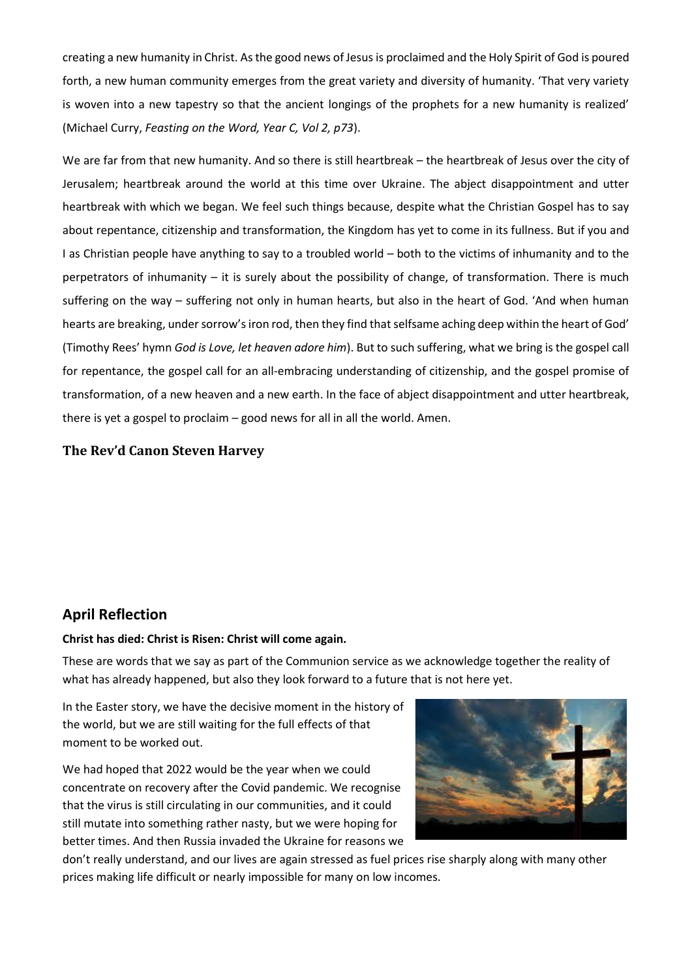creating a new humanity in Christ. As the good news of Jesus is proclaimed and the Holy Spirit of God is poured forth, a new human community emerges from the great variety and diversity of humanity. 'That very variety is woven into a new tapestry so that the ancient longings of the prophets for a new humanity is realized' (Michael Curry, *Feasting on the Word, Year C, Vol 2, p73*).

We are far from that new humanity. And so there is still heartbreak – the heartbreak of Jesus over the city of Jerusalem; heartbreak around the world at this time over Ukraine. The abject disappointment and utter heartbreak with which we began. We feel such things because, despite what the Christian Gospel has to say about repentance, citizenship and transformation, the Kingdom has yet to come in its fullness. But if you and I as Christian people have anything to say to a troubled world – both to the victims of inhumanity and to the perpetrators of inhumanity – it is surely about the possibility of change, of transformation. There is much suffering on the way – suffering not only in human hearts, but also in the heart of God. 'And when human hearts are breaking, under sorrow's iron rod, then they find that selfsame aching deep within the heart of God' (Timothy Rees' hymn *God is Love, let heaven adore him*). But to such suffering, what we bring is the gospel call for repentance, the gospel call for an all-embracing understanding of citizenship, and the gospel promise of transformation, of a new heaven and a new earth. In the face of abject disappointment and utter heartbreak, there is yet a gospel to proclaim – good news for all in all the world. Amen.

## **The Rev'd Canon Steven Harvey**

# **April Reflection**

#### **Christ has died: Christ is Risen: Christ will come again.**

These are words that we say as part of the Communion service as we acknowledge together the reality of what has already happened, but also they look forward to a future that is not here yet.

In the Easter story, we have the decisive moment in the history of the world, but we are still waiting for the full effects of that moment to be worked out.

We had hoped that 2022 would be the year when we could concentrate on recovery after the Covid pandemic. We recognise that the virus is still circulating in our communities, and it could still mutate into something rather nasty, but we were hoping for better times. And then Russia invaded the Ukraine for reasons we



don't really understand, and our lives are again stressed as fuel prices rise sharply along with many other prices making life difficult or nearly impossible for many on low incomes.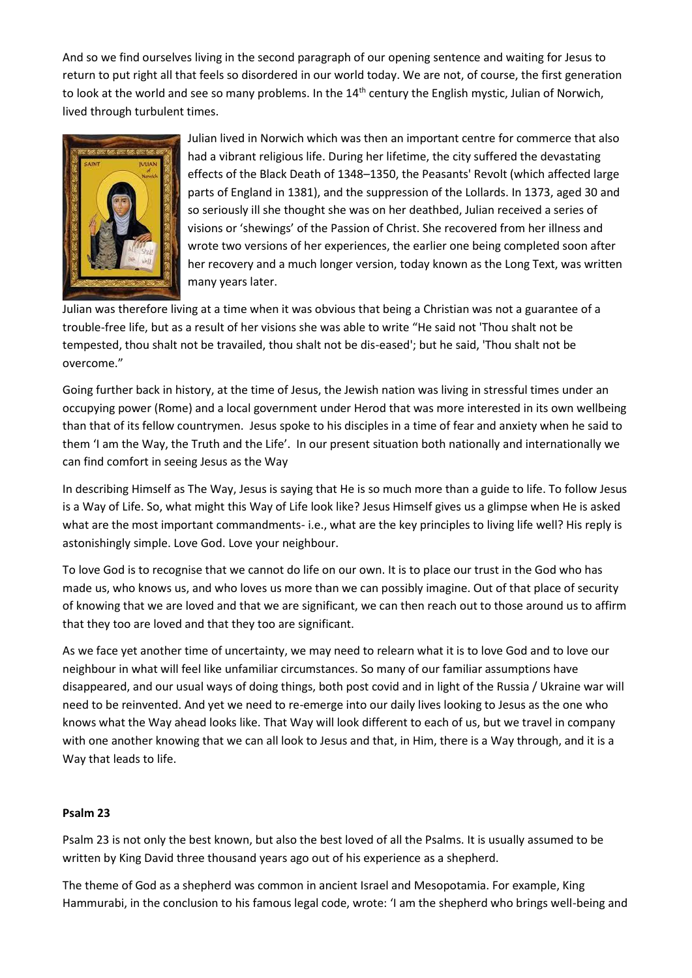And so we find ourselves living in the second paragraph of our opening sentence and waiting for Jesus to return to put right all that feels so disordered in our world today. We are not, of course, the first generation to look at the world and see so many problems. In the 14<sup>th</sup> century the English mystic, Julian of Norwich, lived through turbulent times.



Julian lived in Norwich which was then an important centre for commerce that also had a vibrant religious life. During her lifetime, the city suffered the devastating effects of the Black Death of 1348–1350, the Peasants' Revolt (which affected large parts of England in 1381), and the suppression of the Lollards. In 1373, aged 30 and so seriously ill she thought she was on her deathbed, Julian received a series of visions or 'shewings' of the Passion of Christ. She recovered from her illness and wrote two versions of her experiences, the earlier one being completed soon after her recovery and a much longer version, today known as the Long Text, was written many years later.

Julian was therefore living at a time when it was obvious that being a Christian was not a guarantee of a trouble-free life, but as a result of her visions she was able to write "He said not 'Thou shalt not be tempested, thou shalt not be travailed, thou shalt not be dis-eased'; but he said, 'Thou shalt not be overcome."

Going further back in history, at the time of Jesus, the Jewish nation was living in stressful times under an occupying power (Rome) and a local government under Herod that was more interested in its own wellbeing than that of its fellow countrymen. Jesus spoke to his disciples in a time of fear and anxiety when he said to them 'I am the Way, the Truth and the Life'. In our present situation both nationally and internationally we can find comfort in seeing Jesus as the Way

In describing Himself as The Way, Jesus is saying that He is so much more than a guide to life. To follow Jesus is a Way of Life. So, what might this Way of Life look like? Jesus Himself gives us a glimpse when He is asked what are the most important commandments- i.e., what are the key principles to living life well? His reply is astonishingly simple. Love God. Love your neighbour.

To love God is to recognise that we cannot do life on our own. It is to place our trust in the God who has made us, who knows us, and who loves us more than we can possibly imagine. Out of that place of security of knowing that we are loved and that we are significant, we can then reach out to those around us to affirm that they too are loved and that they too are significant.

As we face yet another time of uncertainty, we may need to relearn what it is to love God and to love our neighbour in what will feel like unfamiliar circumstances. So many of our familiar assumptions have disappeared, and our usual ways of doing things, both post covid and in light of the Russia / Ukraine war will need to be reinvented. And yet we need to re-emerge into our daily lives looking to Jesus as the one who knows what the Way ahead looks like. That Way will look different to each of us, but we travel in company with one another knowing that we can all look to Jesus and that, in Him, there is a Way through, and it is a Way that leads to life.

#### **Psalm 23**

Psalm 23 is not only the best known, but also the best loved of all the Psalms. It is usually assumed to be written by King David three thousand years ago out of his experience as a shepherd.

The theme of God as a shepherd was common in ancient Israel and Mesopotamia. For example, King Hammurabi, in the conclusion to his famous legal code, wrote: 'I am the shepherd who brings well-being and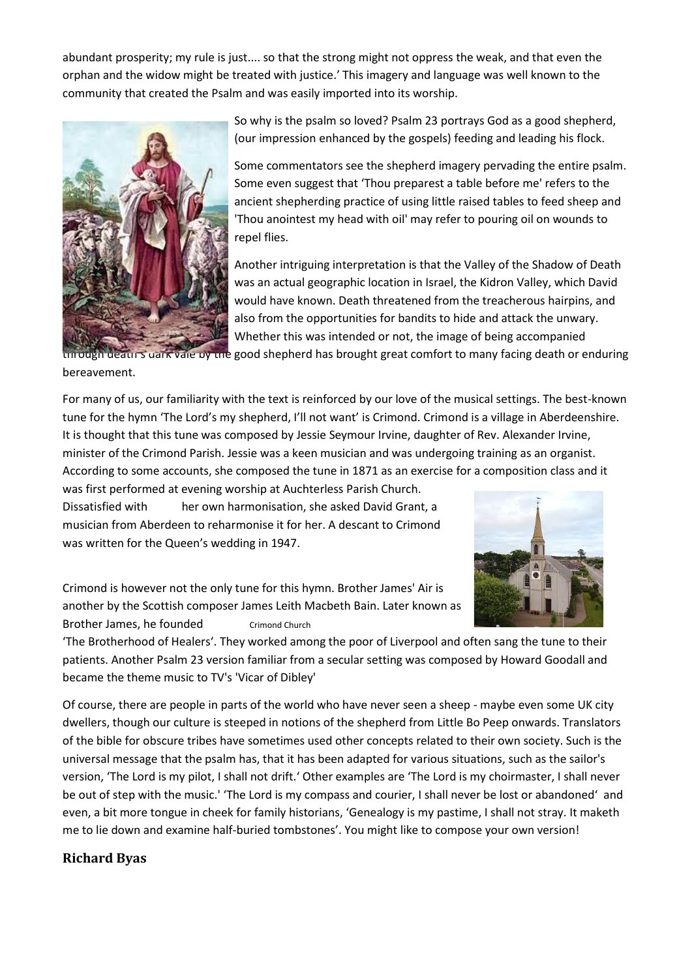abundant prosperity; my rule is just.... so that the strong might not oppress the weak, and that even the orphan and the widow might be treated with justice.' This imagery and language was well known to the community that created the Psalm and was easily imported into its worship.



So why is the psalm so loved? Psalm 23 portrays God as a good shepherd, (our impression enhanced by the gospels) feeding and leading his flock.

Some commentators see the shepherd imagery pervading the entire psalm. Some even suggest that 'Thou preparest a table before me' refers to the ancient shepherding practice of using little raised tables to feed sheep and 'Thou anointest my head with oil' may refer to pouring oil on wounds to repel flies.

Another intriguing interpretation is that the Valley of the Shadow of Death was an actual geographic location in Israel, the Kidron Valley, which David would have known. Death threatened from the treacherous hairpins, and also from the opportunities for bandits to hide and attack the unwary. Whether this was intended or not, the image of being accompanied

It death's dark vale by the good shepherd has brought great comfort to many facing death or enduring bereavement.

For many of us, our familiarity with the text is reinforced by our love of the musical settings. The best-known tune for the hymn 'The Lord's my shepherd, I'll not want' is Crimond. Crimond is a village in Aberdeenshire. It is thought that this tune was composed by Jessie Seymour Irvine, daughter of Rev. Alexander Irvine, minister of the Crimond Parish. Jessie was a keen musician and was undergoing training as an organist. According to some accounts, she composed the tune in 1871 as an exercise for a composition class and it was first performed at evening worship at Auchterless Parish Church.

Dissatisfied with her own harmonisation, she asked David Grant, a musician from Aberdeen to reharmonise it for her. A descant to Crimond was written for the Queen's wedding in 1947.



Crimond is however not the only tune for this hymn. Brother James' Air is another by the Scottish composer James Leith Macbeth Bain. Later known as Brother James, he founded Crimond Church

'The Brotherhood of Healers'. They worked among the poor of Liverpool and often sang the tune to their patients. Another Psalm 23 version familiar from a secular setting was composed by Howard Goodall and became the theme music to TV's 'Vicar of Dibley'

Of course, there are people in parts of the world who have never seen a sheep - maybe even some UK city dwellers, though our culture is steeped in notions of the shepherd from Little Bo Peep onwards. Translators of the bible for obscure tribes have sometimes used other concepts related to their own society. Such is the universal message that the psalm has, that it has been adapted for various situations, such as the sailor's version, 'The Lord is my pilot, I shall not drift.' Other examples are 'The Lord is my choirmaster, I shall never be out of step with the music.' 'The Lord is my compass and courier, I shall never be lost or abandoned' and even, a bit more tongue in cheek for family historians, 'Genealogy is my pastime, I shall not stray. It maketh me to lie down and examine half-buried tombstones'. You might like to compose your own version!

# **Richard Byas**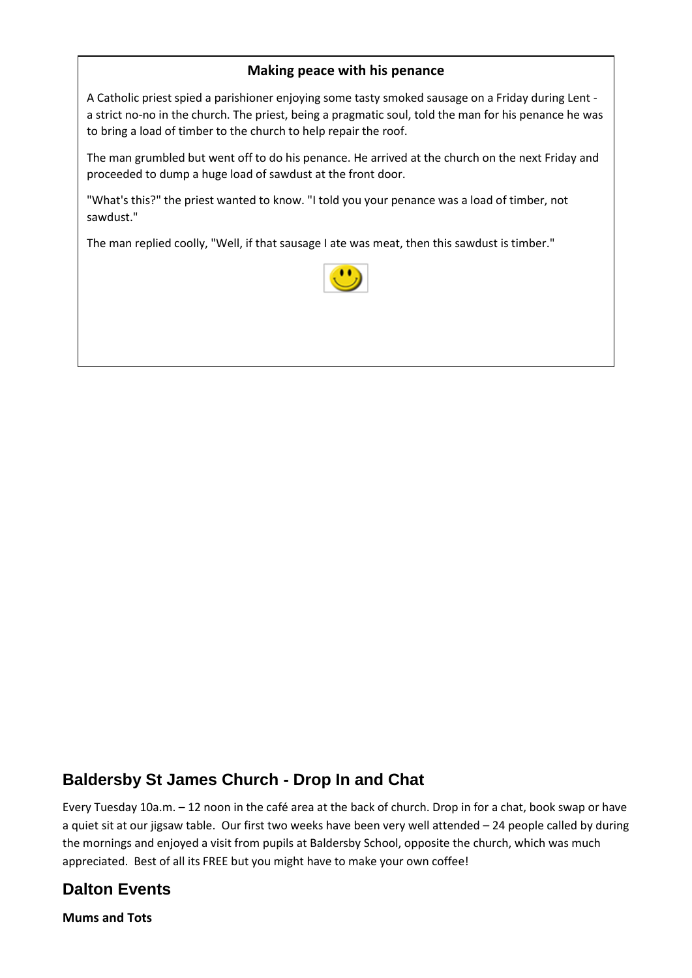# **Making peace with his penance**

A Catholic priest spied a parishioner enjoying some tasty smoked sausage on a Friday during Lent a strict no-no in the church. The priest, being a pragmatic soul, told the man for his penance he was to bring a load of timber to the church to help repair the roof.

The man grumbled but went off to do his penance. He arrived at the church on the next Friday and proceeded to dump a huge load of sawdust at the front door.

"What's this?" the priest wanted to know. "I told you your penance was a load of timber, not sawdust."

The man replied coolly, "Well, if that sausage I ate was meat, then this sawdust is timber."



# **Baldersby St James Church - Drop In and Chat**

Every Tuesday 10a.m. – 12 noon in the café area at the back of church. Drop in for a chat, book swap or have a quiet sit at our jigsaw table. Our first two weeks have been very well attended – 24 people called by during the mornings and enjoyed a visit from pupils at Baldersby School, opposite the church, which was much appreciated. Best of all its FREE but you might have to make your own coffee!

# **Dalton Events**

**Mums and Tots**